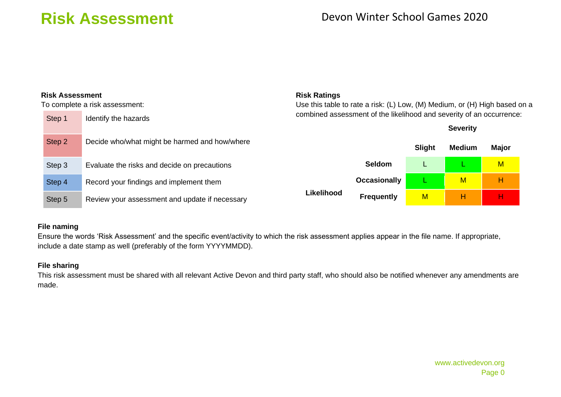| <b>Risk Assessment</b>         |                                                | <b>Risk Ratings</b>                                                        |                                                                      |               |                         |   |  |  |  |  |  |
|--------------------------------|------------------------------------------------|----------------------------------------------------------------------------|----------------------------------------------------------------------|---------------|-------------------------|---|--|--|--|--|--|
| To complete a risk assessment: |                                                | Use this table to rate a risk: (L) Low, (M) Medium, or (H) High based on a |                                                                      |               |                         |   |  |  |  |  |  |
| Step 1                         | Identify the hazards                           |                                                                            | combined assessment of the likelihood and severity of an occurrence: |               |                         |   |  |  |  |  |  |
|                                |                                                |                                                                            |                                                                      |               | <b>Severity</b>         |   |  |  |  |  |  |
| Step 2                         | Decide who/what might be harmed and how/where  |                                                                            | Slight                                                               | <b>Medium</b> | <b>Major</b>            |   |  |  |  |  |  |
| Step 3                         | Evaluate the risks and decide on precautions   |                                                                            | <b>Seldom</b>                                                        |               |                         | M |  |  |  |  |  |
| Step 4                         | Record your findings and implement them        |                                                                            | <b>Occasionally</b>                                                  |               | $\overline{\mathsf{M}}$ | н |  |  |  |  |  |
| Step 5                         | Review your assessment and update if necessary | <b>Likelihood</b>                                                          | <b>Frequently</b>                                                    | M             | н                       | н |  |  |  |  |  |

### **File naming**

Ensure the words 'Risk Assessment' and the specific event/activity to which the risk assessment applies appear in the file name. If appropriate, include a date stamp as well (preferably of the form YYYYMMDD).

### **File sharing**

This risk assessment must be shared with all relevant Active Devon and third party staff, who should also be notified whenever any amendments are made.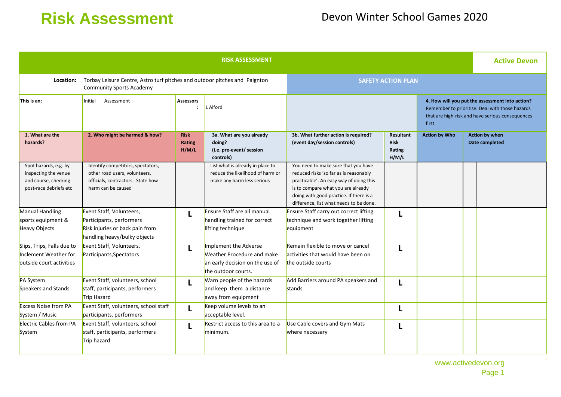| <b>RISK ASSESSMENT</b>                                                                                                     |                                                                                                                               |                                |                                                                                                               |                                                                                                                                                                                                                                                      |                                             |                                                                                                                                                                 | <b>Active Devon</b> |                                         |
|----------------------------------------------------------------------------------------------------------------------------|-------------------------------------------------------------------------------------------------------------------------------|--------------------------------|---------------------------------------------------------------------------------------------------------------|------------------------------------------------------------------------------------------------------------------------------------------------------------------------------------------------------------------------------------------------------|---------------------------------------------|-----------------------------------------------------------------------------------------------------------------------------------------------------------------|---------------------|-----------------------------------------|
| Torbay Leisure Centre, Astro turf pitches and outdoor pitches and Paignton<br>Location:<br><b>Community Sports Academy</b> |                                                                                                                               |                                | <b>SAFETY ACTION PLAN</b>                                                                                     |                                                                                                                                                                                                                                                      |                                             |                                                                                                                                                                 |                     |                                         |
| This is an:                                                                                                                | Initial<br>Assessment                                                                                                         | <b>Assessors</b><br>$\cdot$    | L Alford                                                                                                      |                                                                                                                                                                                                                                                      |                                             | 4. How will you put the assessment into action?<br>Remember to prioritise. Deal with those hazards<br>that are high-risk and have serious consequences<br>first |                     |                                         |
| 1. What are the<br>hazards?                                                                                                | 2. Who might be harmed & how?                                                                                                 | <b>Risk</b><br>Rating<br>H/M/L | 3a. What are you already<br>doing?<br>(i.e. pre-event/ session<br>controls)                                   | 3b. What further action is required?<br>(event day/session controls)                                                                                                                                                                                 | Resultant<br><b>Risk</b><br>Rating<br>H/M/L | <b>Action by Who</b>                                                                                                                                            |                     | <b>Action by when</b><br>Date completed |
| Spot hazards, e.g. by<br>inspecting the venue<br>and course, checking<br>post-race debriefs etc                            | Identify competitors, spectators,<br>other road users, volunteers,<br>officials, contractors. State how<br>harm can be caused |                                | List what is already in place to<br>reduce the likelihood of harm or<br>make any harm less serious            | You need to make sure that you have<br>reduced risks 'so far as is reasonably<br>practicable'. An easy way of doing this<br>is to compare what you are already<br>doing with good practice. If there is a<br>difference, list what needs to be done. |                                             |                                                                                                                                                                 |                     |                                         |
| Manual Handling<br>sports equipment &<br>Heavy Objects                                                                     | Event Staff, Volunteers,<br>Participants, performers<br>Risk injuries or back pain from<br>handling heavy/bulky objects       | L                              | Ensure Staff are all manual<br>handling trained for correct<br>lifting technique                              | <b>Ensure Staff carry out correct lifting</b><br>technique and work together lifting<br>equipment                                                                                                                                                    |                                             |                                                                                                                                                                 |                     |                                         |
| Slips, Trips, Falls due to<br>Inclement Weather for<br>outside court activities                                            | Event Staff, Volunteers,<br>Participants, Spectators                                                                          | L                              | Implement the Adverse<br>Weather Procedure and make<br>an early decision on the use of<br>the outdoor courts. | Remain flexible to move or cancel<br>activities that would have been on<br>the outside courts                                                                                                                                                        |                                             |                                                                                                                                                                 |                     |                                         |
| <b>PA System</b><br>Speakers and Stands                                                                                    | Event Staff, volunteers, school<br>staff, participants, performers<br>Trip Hazard                                             | L                              | Warn people of the hazards<br>and keep them a distance<br>away from equipment                                 | Add Barriers around PA speakers and<br>stands                                                                                                                                                                                                        |                                             |                                                                                                                                                                 |                     |                                         |
| <b>Excess Noise from PA</b><br>System / Music                                                                              | Event Staff, volunteers, school staff<br>participants, performers                                                             | L                              | Keep volume levels to an<br>acceptable level.                                                                 |                                                                                                                                                                                                                                                      |                                             |                                                                                                                                                                 |                     |                                         |
| <b>Electric Cables from PA</b><br>System                                                                                   | Event Staff, volunteers, school<br>staff, participants, performers<br>Trip hazard                                             | L                              | Restrict access to this area to a<br>minimum.                                                                 | Use Cable covers and Gym Mats<br>where necessary                                                                                                                                                                                                     |                                             |                                                                                                                                                                 |                     |                                         |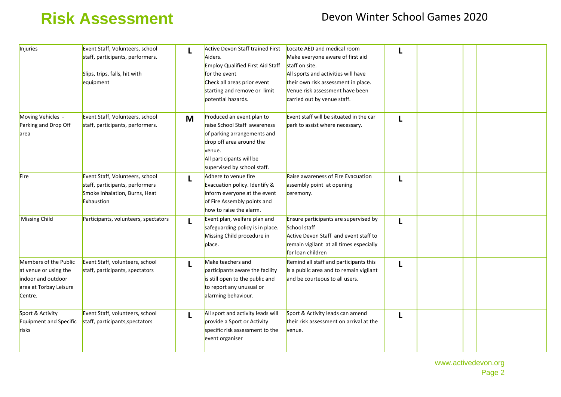| Injuries                                                                                                  | Event Staff, Volunteers, school<br>staff, participants, performers.<br>Slips, trips, falls, hit with<br>equipment |   | Active Devon Staff trained First<br>Aiders.<br>Employ Qualified First Aid Staff<br>for the event<br>Check all areas prior event<br>starting and remove or limit<br>potential hazards.     | Locate AED and medical room<br>Make everyone aware of first aid<br>staff on site.<br>All sports and activities will have<br>their own risk assessment in place.<br>Venue risk assessment have been<br>carried out by venue staff. |   |  |  |
|-----------------------------------------------------------------------------------------------------------|-------------------------------------------------------------------------------------------------------------------|---|-------------------------------------------------------------------------------------------------------------------------------------------------------------------------------------------|-----------------------------------------------------------------------------------------------------------------------------------------------------------------------------------------------------------------------------------|---|--|--|
| Moving Vehicles -<br>Parking and Drop Off<br>area                                                         | Event Staff, Volunteers, school<br>staff, participants, performers.                                               | M | Produced an event plan to<br>raise School Staff awareness<br>of parking arrangements and<br>drop off area around the<br>venue.<br>All participants will be<br>supervised by school staff. | Event staff will be situated in the car<br>park to assist where necessary.                                                                                                                                                        | L |  |  |
| Fire                                                                                                      | Event Staff, Volunteers, school<br>staff, participants, performers<br>Smoke Inhalation, Burns, Heat<br>Exhaustion |   | Adhere to venue fire<br>Evacuation policy. Identify &<br>inform everyone at the event<br>of Fire Assembly points and<br>how to raise the alarm.                                           | Raise awareness of Fire Evacuation<br>assembly point at opening<br>ceremony.                                                                                                                                                      |   |  |  |
| <b>Missing Child</b>                                                                                      | Participants, volunteers, spectators                                                                              |   | Event plan, welfare plan and<br>safeguarding policy is in place.<br>Missing Child procedure in<br>place.                                                                                  | Ensure participants are supervised by<br>School staff<br>Active Devon Staff and event staff to<br>remain vigilant at all times especially<br>for loan children                                                                    | L |  |  |
| Members of the Public<br>at venue or using the<br>indoor and outdoor<br>area at Torbay Leisure<br>Centre. | Event Staff, volunteers, school<br>staff, participants, spectators                                                |   | Make teachers and<br>participants aware the facility<br>is still open to the public and<br>to report any unusual or<br>alarming behaviour.                                                | Remind all staff and participants this<br>is a public area and to remain vigilant<br>and be courteous to all users.                                                                                                               | L |  |  |
| Sport & Activity<br>Equipment and Specific<br>risks                                                       | Event Staff, volunteers, school<br>staff, participants, spectators                                                | L | All sport and activity leads will<br>provide a Sport or Activity<br>specific risk assessment to the<br>event organiser                                                                    | Sport & Activity leads can amend<br>their risk assessment on arrival at the<br>venue.                                                                                                                                             | L |  |  |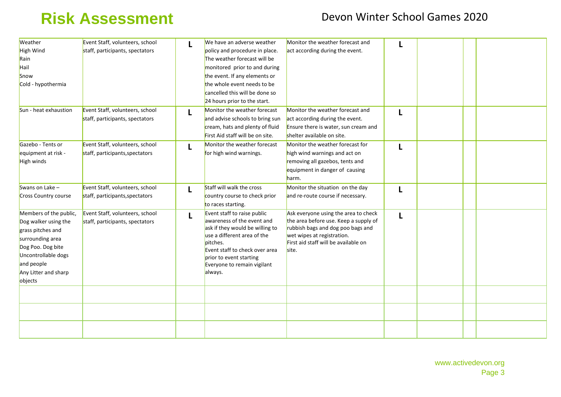| Weather                | Event Staff, volunteers, school | L | We have an adverse weather       | Monitor the weather forecast and      |   |  |  |
|------------------------|---------------------------------|---|----------------------------------|---------------------------------------|---|--|--|
| High Wind              | staff, participants, spectators |   | policy and procedure in place.   | act according during the event.       |   |  |  |
| Rain                   |                                 |   | The weather forecast will be     |                                       |   |  |  |
| Hail                   |                                 |   | monitored prior to and during    |                                       |   |  |  |
| Snow                   |                                 |   | the event. If any elements or    |                                       |   |  |  |
| Cold - hypothermia     |                                 |   | the whole event needs to be      |                                       |   |  |  |
|                        |                                 |   | cancelled this will be done so   |                                       |   |  |  |
|                        |                                 |   | 24 hours prior to the start.     |                                       |   |  |  |
| Sun - heat exhaustion  | Event Staff, volunteers, school | L | Monitor the weather forecast     | Monitor the weather forecast and      |   |  |  |
|                        | staff, participants, spectators |   | and advise schools to bring sun  | act according during the event.       |   |  |  |
|                        |                                 |   | cream, hats and plenty of fluid  | Ensure there is water, sun cream and  |   |  |  |
|                        |                                 |   | First Aid staff will be on site. | shelter available on site.            |   |  |  |
| Gazebo - Tents or      | Event Staff, volunteers, school | L | Monitor the weather forecast     | Monitor the weather forecast for      | L |  |  |
| equipment at risk -    | staff, participants, spectators |   | for high wind warnings.          | high wind warnings and act on         |   |  |  |
| High winds             |                                 |   |                                  | removing all gazebos, tents and       |   |  |  |
|                        |                                 |   |                                  | equipment in danger of causing        |   |  |  |
|                        |                                 |   |                                  | harm.                                 |   |  |  |
| Swans on Lake $-$      | Event Staff, volunteers, school |   | Staff will walk the cross        | Monitor the situation on the day      |   |  |  |
| Cross Country course   | staff, participants, spectators | L | country course to check prior    | and re-route course if necessary.     | L |  |  |
|                        |                                 |   | to races starting.               |                                       |   |  |  |
| Members of the public, | Event Staff, volunteers, school |   | Event staff to raise public      | Ask everyone using the area to check  |   |  |  |
| Dog walker using the   | staff, participants, spectators | L | awareness of the event and       | the area before use. Keep a supply of | L |  |  |
| grass pitches and      |                                 |   | ask if they would be willing to  | rubbish bags and dog poo bags and     |   |  |  |
| surrounding area       |                                 |   | use a different area of the      | wet wipes at registration.            |   |  |  |
| Dog Poo. Dog bite      |                                 |   | pitches.                         | First aid staff will be available on  |   |  |  |
|                        |                                 |   | Event staff to check over area   | site.                                 |   |  |  |
| Uncontrollable dogs    |                                 |   | prior to event starting          |                                       |   |  |  |
| and people             |                                 |   | Everyone to remain vigilant      |                                       |   |  |  |
| Any Litter and sharp   |                                 |   | always.                          |                                       |   |  |  |
| objects                |                                 |   |                                  |                                       |   |  |  |
|                        |                                 |   |                                  |                                       |   |  |  |
|                        |                                 |   |                                  |                                       |   |  |  |
|                        |                                 |   |                                  |                                       |   |  |  |
|                        |                                 |   |                                  |                                       |   |  |  |